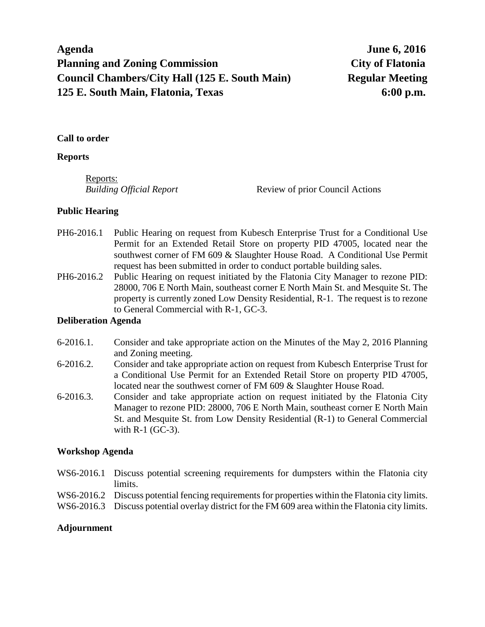# **Agenda June 6, 2016 Planning and Zoning Commission City of Flatonia Council Chambers/City Hall (125 E. South Main) Regular Meeting 125 E. South Main, Flatonia, Texas 6:00 p.m.**

## **Call to order**

#### **Reports**

Reports:

*Building Official Report* Review of prior Council Actions

## **Public Hearing**

- PH6-2016.1 Public Hearing on request from Kubesch Enterprise Trust for a Conditional Use Permit for an Extended Retail Store on property PID 47005, located near the southwest corner of FM 609 & Slaughter House Road. A Conditional Use Permit request has been submitted in order to conduct portable building sales.
- PH6-2016.2 Public Hearing on request initiated by the Flatonia City Manager to rezone PID: 28000, 706 E North Main, southeast corner E North Main St. and Mesquite St. The property is currently zoned Low Density Residential, R-1. The request is to rezone to General Commercial with R-1, GC-3.

## **Deliberation Agenda**

- 6-2016.1. Consider and take appropriate action on the Minutes of the May 2, 2016 Planning and Zoning meeting.
- 6-2016.2. Consider and take appropriate action on request from Kubesch Enterprise Trust for a Conditional Use Permit for an Extended Retail Store on property PID 47005, located near the southwest corner of FM 609 & Slaughter House Road.
- 6-2016.3. Consider and take appropriate action on request initiated by the Flatonia City Manager to rezone PID: 28000, 706 E North Main, southeast corner E North Main St. and Mesquite St. from Low Density Residential (R-1) to General Commercial with R-1 (GC-3).

## **Workshop Agenda**

- WS6-2016.1 Discuss potential screening requirements for dumpsters within the Flatonia city limits.
- WS6-2016.2 Discuss potential fencing requirements for properties within the Flatonia city limits.
- WS6-2016.3 Discuss potential overlay district for the FM 609 area within the Flatonia city limits.

## **Adjournment**